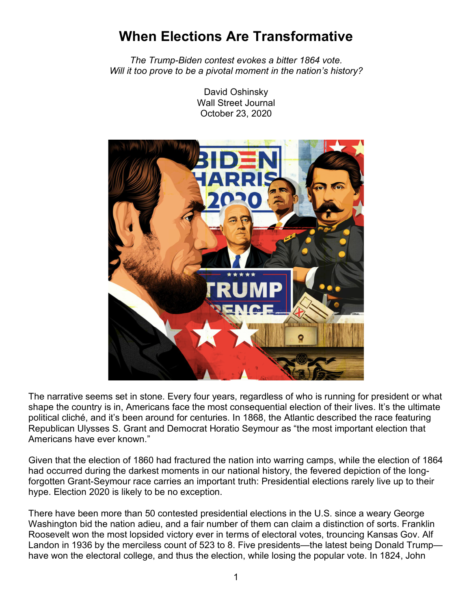## **When Elections Are Transformative**

*The Trump-Biden contest evokes a bitter 1864 vote. Will it too prove to be a pivotal moment in the nation's history?*

David Oshinsky Wall Street Journal October 23, 2020

The narrative seems set in stone. Every four years, regardless of who is running for president or what shape the country is in, Americans face the most consequential election of their lives. It's the ultimate political cliché, and it's been around for centuries. In 1868, the Atlantic described the race featuring Republican Ulysses S. Grant and Democrat Horatio Seymour as "the most important election that Americans have ever known."

Given that the election of 1860 had fractured the nation into warring camps, while the election of 1864 had occurred during the darkest moments in our national history, the fevered depiction of the longforgotten Grant-Seymour race carries an important truth: Presidential elections rarely live up to their hype. Election 2020 is likely to be no exception.

There have been more than 50 contested presidential elections in the U.S. since a weary George Washington bid the nation adieu, and a fair number of them can claim a distinction of sorts. Franklin Roosevelt won the most lopsided victory ever in terms of electoral votes, trouncing Kansas Gov. Alf Landon in 1936 by the merciless count of 523 to 8. Five presidents—the latest being Donald Trump have won the electoral college, and thus the election, while losing the popular vote. In 1824, John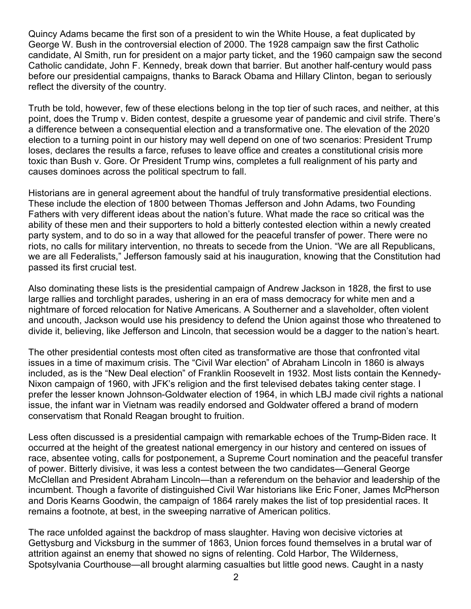Quincy Adams became the first son of a president to win the White House, a feat duplicated by George W. Bush in the controversial election of 2000. The 1928 campaign saw the first Catholic candidate, Al Smith, run for president on a major party ticket, and the 1960 campaign saw the second Catholic candidate, John F. Kennedy, break down that barrier. But another half-century would pass before our presidential campaigns, thanks to Barack Obama and Hillary Clinton, began to seriously reflect the diversity of the country.

Truth be told, however, few of these elections belong in the top tier of such races, and neither, at this point, does the Trump v. Biden contest, despite a gruesome year of pandemic and civil strife. There's a difference between a consequential election and a transformative one. The elevation of the 2020 election to a turning point in our history may well depend on one of two scenarios: President Trump loses, declares the results a farce, refuses to leave office and creates a constitutional crisis more toxic than Bush v. Gore. Or President Trump wins, completes a full realignment of his party and causes dominoes across the political spectrum to fall.

Historians are in general agreement about the handful of truly transformative presidential elections. These include the election of 1800 between Thomas Jefferson and John Adams, two Founding Fathers with very different ideas about the nation's future. What made the race so critical was the ability of these men and their supporters to hold a bitterly contested election within a newly created party system, and to do so in a way that allowed for the peaceful transfer of power. There were no riots, no calls for military intervention, no threats to secede from the Union. "We are all Republicans, we are all Federalists," Jefferson famously said at his inauguration, knowing that the Constitution had passed its first crucial test.

Also dominating these lists is the presidential campaign of Andrew Jackson in 1828, the first to use large rallies and torchlight parades, ushering in an era of mass democracy for white men and a nightmare of forced relocation for Native Americans. A Southerner and a slaveholder, often violent and uncouth, Jackson would use his presidency to defend the Union against those who threatened to divide it, believing, like Jefferson and Lincoln, that secession would be a dagger to the nation's heart.

The other presidential contests most often cited as transformative are those that confronted vital issues in a time of maximum crisis. The "Civil War election" of Abraham Lincoln in 1860 is always included, as is the "New Deal election" of Franklin Roosevelt in 1932. Most lists contain the Kennedy-Nixon campaign of 1960, with JFK's religion and the first televised debates taking center stage. I prefer the lesser known Johnson-Goldwater election of 1964, in which LBJ made civil rights a national issue, the infant war in Vietnam was readily endorsed and Goldwater offered a brand of modern conservatism that Ronald Reagan brought to fruition.

Less often discussed is a presidential campaign with remarkable echoes of the Trump-Biden race. It occurred at the height of the greatest national emergency in our history and centered on issues of race, absentee voting, calls for postponement, a Supreme Court nomination and the peaceful transfer of power. Bitterly divisive, it was less a contest between the two candidates—General George McClellan and President Abraham Lincoln—than a referendum on the behavior and leadership of the incumbent. Though a favorite of distinguished Civil War historians like Eric Foner, James McPherson and Doris Kearns Goodwin, the campaign of 1864 rarely makes the list of top presidential races. It remains a footnote, at best, in the sweeping narrative of American politics.

The race unfolded against the backdrop of mass slaughter. Having won decisive victories at Gettysburg and Vicksburg in the summer of 1863, Union forces found themselves in a brutal war of attrition against an enemy that showed no signs of relenting. Cold Harbor, The Wilderness, Spotsylvania Courthouse—all brought alarming casualties but little good news. Caught in a nasty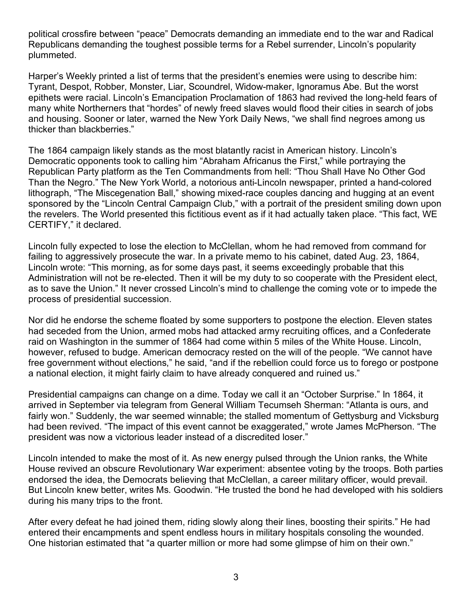political crossfire between "peace" Democrats demanding an immediate end to the war and Radical Republicans demanding the toughest possible terms for a Rebel surrender, Lincoln's popularity plummeted.

Harper's Weekly printed a list of terms that the president's enemies were using to describe him: Tyrant, Despot, Robber, Monster, Liar, Scoundrel, Widow-maker, Ignoramus Abe. But the worst epithets were racial. Lincoln's Emancipation Proclamation of 1863 had revived the long-held fears of many white Northerners that "hordes" of newly freed slaves would flood their cities in search of jobs and housing. Sooner or later, warned the New York Daily News, "we shall find negroes among us thicker than blackberries."

The 1864 campaign likely stands as the most blatantly racist in American history. Lincoln's Democratic opponents took to calling him "Abraham Africanus the First," while portraying the Republican Party platform as the Ten Commandments from hell: "Thou Shall Have No Other God Than the Negro." The New York World, a notorious anti-Lincoln newspaper, printed a hand-colored lithograph, "The Miscegenation Ball," showing mixed-race couples dancing and hugging at an event sponsored by the "Lincoln Central Campaign Club," with a portrait of the president smiling down upon the revelers. The World presented this fictitious event as if it had actually taken place. "This fact, WE CERTIFY," it declared.

Lincoln fully expected to lose the election to McClellan, whom he had removed from command for failing to aggressively prosecute the war. In a private memo to his cabinet, dated Aug. 23, 1864, Lincoln wrote: "This morning, as for some days past, it seems exceedingly probable that this Administration will not be re-elected. Then it will be my duty to so cooperate with the President elect, as to save the Union." It never crossed Lincoln's mind to challenge the coming vote or to impede the process of presidential succession.

Nor did he endorse the scheme floated by some supporters to postpone the election. Eleven states had seceded from the Union, armed mobs had attacked army recruiting offices, and a Confederate raid on Washington in the summer of 1864 had come within 5 miles of the White House. Lincoln, however, refused to budge. American democracy rested on the will of the people. "We cannot have free government without elections," he said, "and if the rebellion could force us to forego or postpone a national election, it might fairly claim to have already conquered and ruined us."

Presidential campaigns can change on a dime. Today we call it an "October Surprise." In 1864, it arrived in September via telegram from General William Tecumseh Sherman: "Atlanta is ours, and fairly won." Suddenly, the war seemed winnable; the stalled momentum of Gettysburg and Vicksburg had been revived. "The impact of this event cannot be exaggerated," wrote James McPherson. "The president was now a victorious leader instead of a discredited loser."

Lincoln intended to make the most of it. As new energy pulsed through the Union ranks, the White House revived an obscure Revolutionary War experiment: absentee voting by the troops. Both parties endorsed the idea, the Democrats believing that McClellan, a career military officer, would prevail. But Lincoln knew better, writes Ms. Goodwin. "He trusted the bond he had developed with his soldiers during his many trips to the front.

After every defeat he had joined them, riding slowly along their lines, boosting their spirits." He had entered their encampments and spent endless hours in military hospitals consoling the wounded. One historian estimated that "a quarter million or more had some glimpse of him on their own."